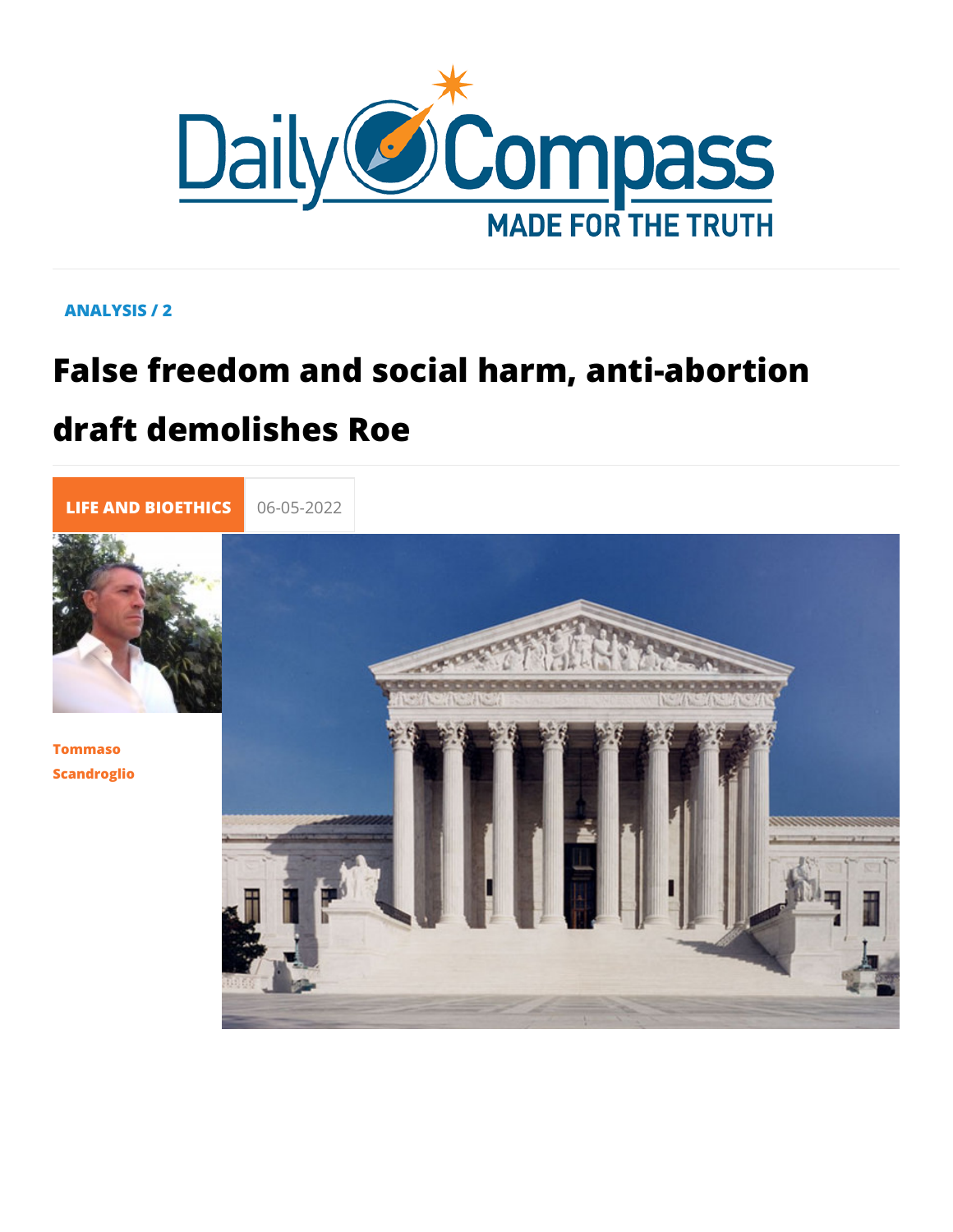# ANALYSIS / 2

# False freedom and social harm, anti-al draft demolishes Roe

LIFE AND BIOE 06-05-2022

Tommaso Scandroglio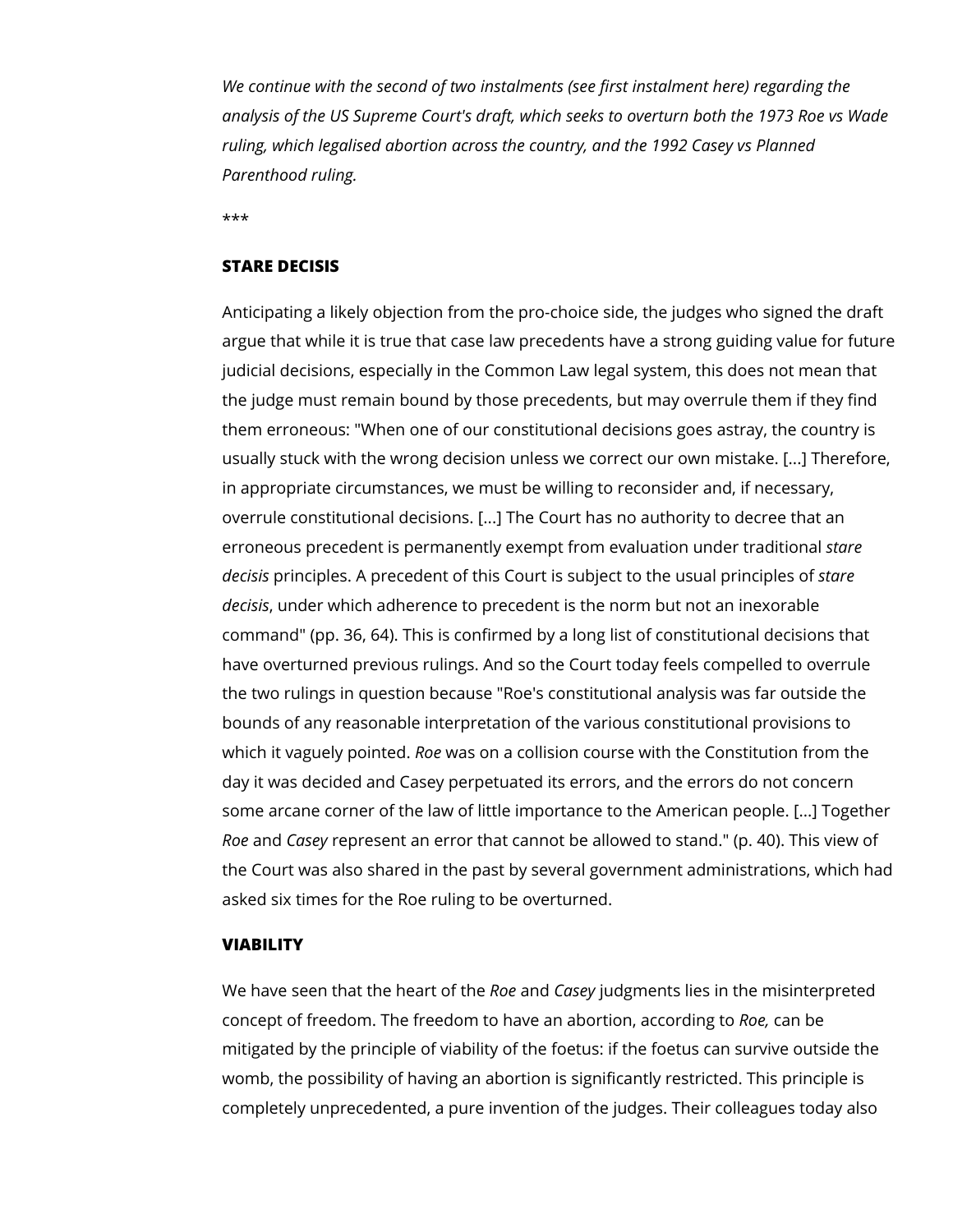*We continue with the second of two instalments (see first instalment here) regarding the analysis of the US Supreme Court's draft, which seeks to overturn both the 1973 Roe vs Wade ruling, which legalised abortion across the country, and the 1992 Casey vs Planned Parenthood ruling.*

\*\*\*

#### **STARE DECISIS**

Anticipating a likely objection from the pro-choice side, the judges who signed the draft argue that while it is true that case law precedents have a strong guiding value for future judicial decisions, especially in the Common Law legal system, this does not mean that the judge must remain bound by those precedents, but may overrule them if they find them erroneous: "When one of our constitutional decisions goes astray, the country is usually stuck with the wrong decision unless we correct our own mistake. [...] Therefore, in appropriate circumstances, we must be willing to reconsider and, if necessary, overrule constitutional decisions. [...] The Court has no authority to decree that an erroneous precedent is permanently exempt from evaluation under traditional *stare decisis* principles. A precedent of this Court is subject to the usual principles of *stare decisis*, under which adherence to precedent is the norm but not an inexorable command" (pp. 36, 64). This is confirmed by a long list of constitutional decisions that have overturned previous rulings. And so the Court today feels compelled to overrule the two rulings in question because "Roe's constitutional analysis was far outside the bounds of any reasonable interpretation of the various constitutional provisions to which it vaguely pointed. *Roe* was on a collision course with the Constitution from the day it was decided and Casey perpetuated its errors, and the errors do not concern some arcane corner of the law of little importance to the American people. [...] Together *Roe* and *Casey* represent an error that cannot be allowed to stand." (p. 40). This view of the Court was also shared in the past by several government administrations, which had asked six times for the Roe ruling to be overturned.

## **VIABILITY**

We have seen that the heart of the *Roe* and *Casey* judgments lies in the misinterpreted concept of freedom. The freedom to have an abortion, according to *Roe,* can be mitigated by the principle of viability of the foetus: if the foetus can survive outside the womb, the possibility of having an abortion is significantly restricted. This principle is completely unprecedented, a pure invention of the judges. Their colleagues today also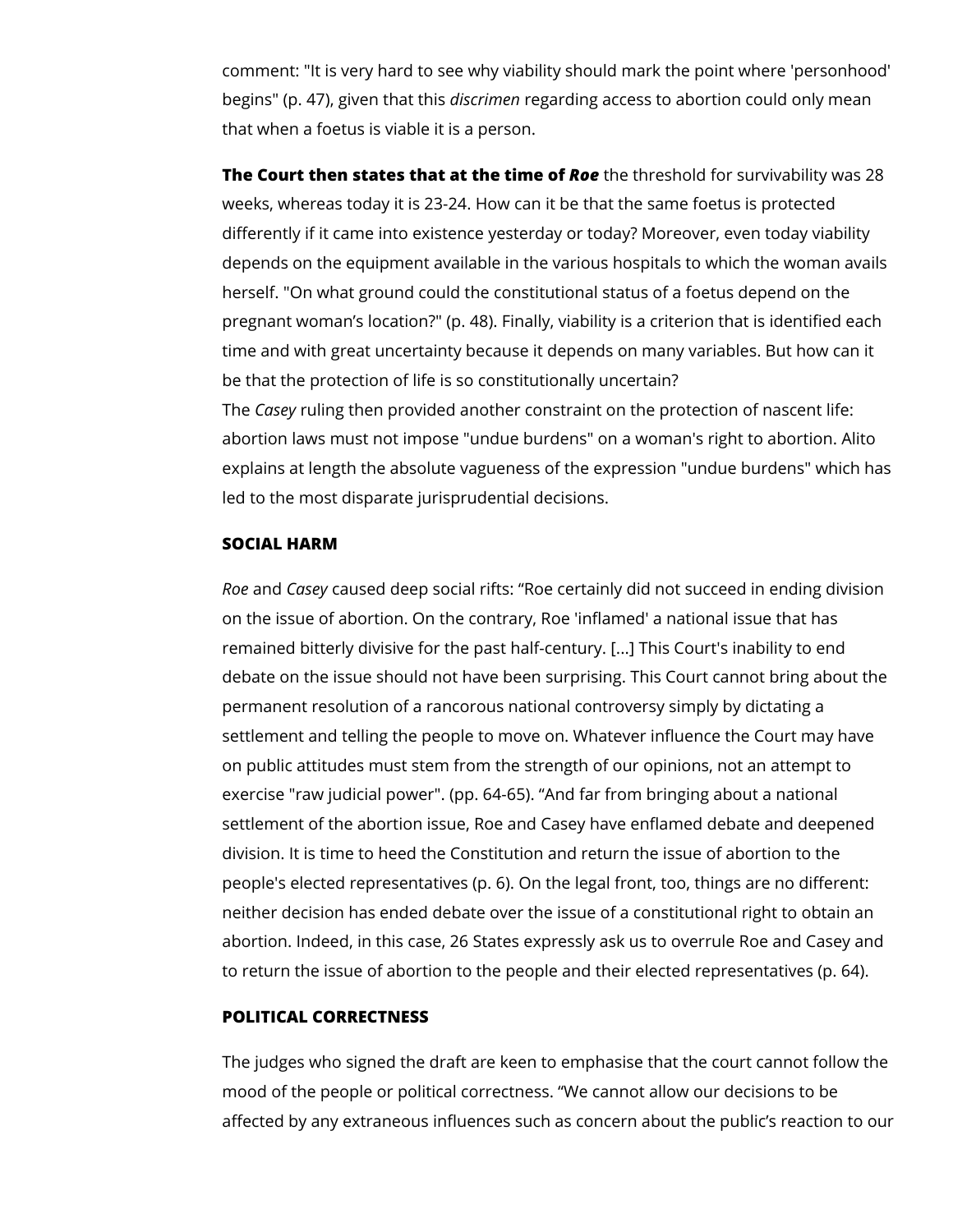comment: "It is very hard to see why viability should mark the point where 'personhood' begins" (p. 47), given that this *discrimen* regarding access to abortion could only mean that when a foetus is viable it is a person.

**The Court then states that at the time of** *Roe* the threshold for survivability was 28 weeks, whereas today it is 23-24. How can it be that the same foetus is protected differently if it came into existence yesterday or today? Moreover, even today viability depends on the equipment available in the various hospitals to which the woman avails herself. "On what ground could the constitutional status of a foetus depend on the pregnant woman's location?" (p. 48). Finally, viability is a criterion that is identified each time and with great uncertainty because it depends on many variables. But how can it be that the protection of life is so constitutionally uncertain? The *Casey* ruling then provided another constraint on the protection of nascent life: abortion laws must not impose "undue burdens" on a woman's right to abortion. Alito explains at length the absolute vagueness of the expression "undue burdens" which has

**SOCIAL HARM**

led to the most disparate jurisprudential decisions.

*Roe* and *Casey* caused deep social rifts: "Roe certainly did not succeed in ending division on the issue of abortion. On the contrary, Roe 'inflamed' a national issue that has remained bitterly divisive for the past half-century. [...] This Court's inability to end debate on the issue should not have been surprising. This Court cannot bring about the permanent resolution of a rancorous national controversy simply by dictating a settlement and telling the people to move on. Whatever influence the Court may have on public attitudes must stem from the strength of our opinions, not an attempt to exercise "raw judicial power". (pp. 64-65). "And far from bringing about a national settlement of the abortion issue, Roe and Casey have enflamed debate and deepened division. It is time to heed the Constitution and return the issue of abortion to the people's elected representatives (p. 6). On the legal front, too, things are no different: neither decision has ended debate over the issue of a constitutional right to obtain an abortion. Indeed, in this case, 26 States expressly ask us to overrule Roe and Casey and to return the issue of abortion to the people and their elected representatives (p. 64).

#### **POLITICAL CORRECTNESS**

The judges who signed the draft are keen to emphasise that the court cannot follow the mood of the people or political correctness. "We cannot allow our decisions to be affected by any extraneous influences such as concern about the public's reaction to our